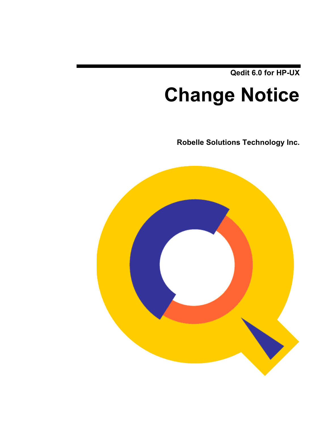**Qedit 6.0 for HP-UX**

# **Change Notice**

**Robelle Solutions Technology Inc.**

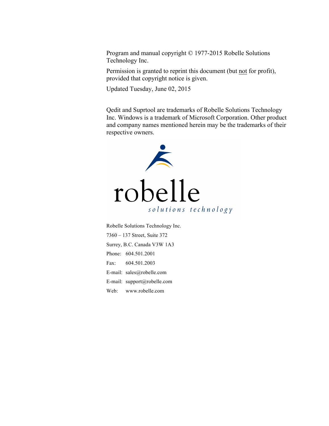Program and manual copyright © 1977-2015 Robelle Solutions Technology Inc.

Permission is granted to reprint this document (but not for profit), provided that copyright notice is given.

Updated Tuesday, June 02, 2015

Qedit and Suprtool are trademarks of Robelle Solutions Technology Inc. Windows is a trademark of Microsoft Corporation. Other product and company names mentioned herein may be the trademarks of their respective owners.



Robelle Solutions Technology Inc. 7360 – 137 Street, Suite 372 Surrey, B.C. Canada V3W 1A3 Phone: 604.501.2001 Fax: 604.501.2003 E-mail: sales@robelle.com E-mail: support@robelle.com Web: www.robelle.com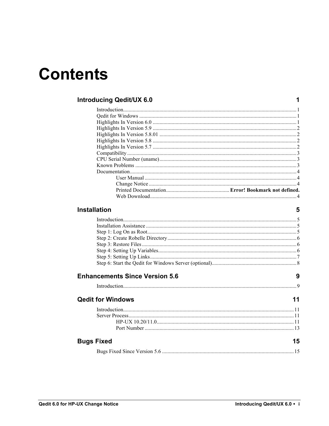# **Contents**

#### **Introducing Qedit/UX 6.0**

#### **Installation**

#### $5\phantom{a}$

 $\overline{9}$ 

 $\mathbf 1$ 

#### **Enhancements Since Version 5.6**

| <b>Qedit for Windows</b> |    |
|--------------------------|----|
|                          |    |
|                          |    |
| $HP-UX 10.20/11.0$       |    |
|                          |    |
| <b>Bugs Fixed</b>        | 15 |

|--|--|--|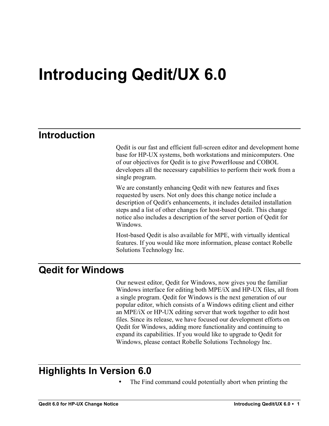# **Introducing Qedit/UX 6.0**

# **Introduction**

Qedit is our fast and efficient full-screen editor and development home base for HP-UX systems, both workstations and minicomputers. One of our objectives for Qedit is to give PowerHouse and COBOL developers all the necessary capabilities to perform their work from a single program.

We are constantly enhancing Qedit with new features and fixes requested by users. Not only does this change notice include a description of Qedit's enhancements, it includes detailed installation steps and a list of other changes for host-based Qedit. This change notice also includes a description of the server portion of Qedit for Windows.

Host-based Qedit is also available for MPE, with virtually identical features. If you would like more information, please contact Robelle Solutions Technology Inc.

# **Qedit for Windows**

Our newest editor, Qedit for Windows, now gives you the familiar Windows interface for editing both MPE/iX and HP-UX files, all from a single program. Qedit for Windows is the next generation of our popular editor, which consists of a Windows editing client and either an MPE/iX or HP-UX editing server that work together to edit host files. Since its release, we have focused our development efforts on Qedit for Windows, adding more functionality and continuing to expand its capabilities. If you would like to upgrade to Qedit for Windows, please contact Robelle Solutions Technology Inc.

# **Highlights In Version 6.0**

The Find command could potentially abort when printing the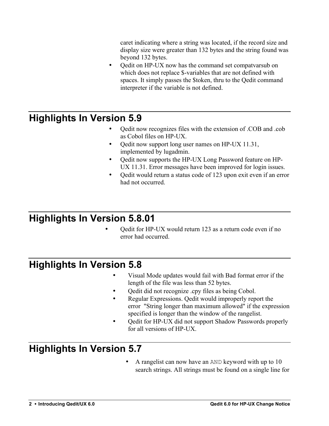caret indicating where a string was located, if the record size and display size were greater than 132 bytes and the string found was beyond 132 bytes.

• Qedit on HP-UX now has the command set compatvarsub on which does not replace \$-variables that are not defined with spaces. It simply passes the \$token, thru to the Qedit command interpreter if the variable is not defined.

# **Highlights In Version 5.9**

- Qedit now recognizes files with the extension of .COB and .cob as Cobol files on HP-UX.
- Qedit now support long user names on HP-UX 11.31, implemented by lugadmin.
- Qedit now supports the HP-UX Long Password feature on HP-UX 11.31. Error messages have been improved for login issues.
- Qedit would return a status code of 123 upon exit even if an error had not occurred.

# **Highlights In Version 5.8.01**

• Qedit for HP-UX would return 123 as a return code even if no error had occurred.

# **Highlights In Version 5.8**

- Visual Mode updates would fail with Bad format error if the length of the file was less than 52 bytes.
- Qedit did not recognize .cpy files as being Cobol.
- Regular Expressions. Qedit would improperly report the error "String longer than maximum allowed" if the expression specified is longer than the window of the rangelist.
- Qedit for HP-UX did not support Shadow Passwords properly for all versions of HP-UX.

# **Highlights In Version 5.7**

• A rangelist can now have an AND keyword with up to 10 search strings. All strings must be found on a single line for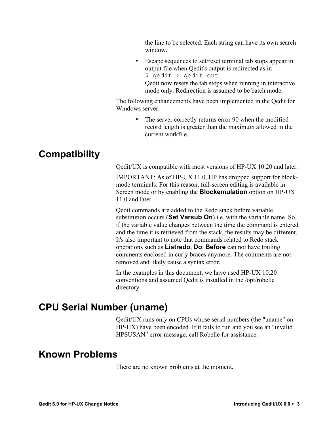the line to be selected. Each string can have its own search window.

• Escape sequences to set/reset terminal tab stops appear in output file when Qedit's output is redirected as in \$ qedit > qedit.out Qedit now resets the tab stops when running in interactive

mode only. Redirection is assumed to be batch mode.

The following enhancements have been implemented in the Qedit for Windows server.

> The server correctly returns error 90 when the modified record length is greater than the maximum allowed in the current workfile.

# **Compatibility**

Qedit/UX is compatible with most versions of HP-UX 10.20 and later.

IMPORTANT: As of HP-UX 11.0, HP has dropped support for blockmode terminals. For this reason, full-screen editing is available in Screen mode or by enabling the **Blockemulation** option on HP-UX 11.0 and later.

Qedit commands are added to the Redo stack before variable substitution occurs (**Set Varsub On**) i.e. with the variable name. So, if the variable value changes between the time the command is entered and the time it is retrieved from the stack, the results may be different. It's also important to note that commands related to Redo stack operations such as **Listredo**, **Do**, **Before** can not have trailing comments enclosed in curly braces anymore. The comments are not removed and likely cause a syntax error.

In the examples in this document, we have used HP-UX 10.20 conventions and assumed Qedit is installed in the /opt/robelle directory.

# **CPU Serial Number (uname)**

Qedit/UX runs only on CPUs whose serial numbers (the "uname" on HP-UX) have been encoded. If it fails to run and you see an "invalid HPSUSAN" error message, call Robelle for assistance.

# **Known Problems**

There are no known problems at the moment.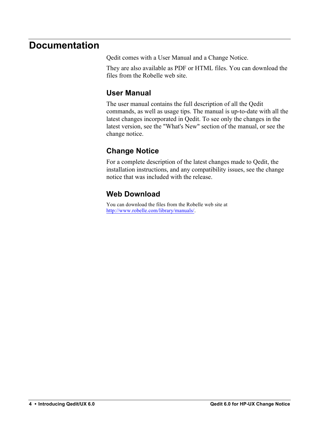# **Documentation**

Qedit comes with a User Manual and a Change Notice.

They are also available as PDF or HTML files. You can download the files from the Robelle web site.

### **User Manual**

The user manual contains the full description of all the Qedit commands, as well as usage tips. The manual is up-to-date with all the latest changes incorporated in Qedit. To see only the changes in the latest version, see the "What's New" section of the manual, or see the change notice.

### **Change Notice**

For a complete description of the latest changes made to Qedit, the installation instructions, and any compatibility issues, see the change notice that was included with the release.

### **Web Download**

You can download the files from the Robelle web site at http://www.robelle.com/library/manuals/.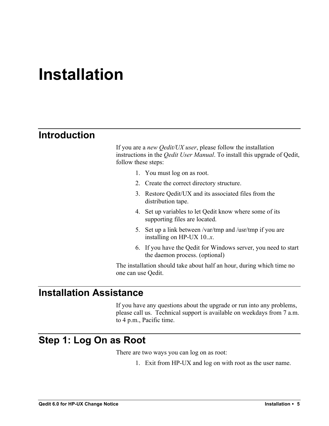# **Installation**

# **Introduction**

If you are a *new Qedit/UX user*, please follow the installation instructions in the *Qedit User Manual*. To install this upgrade of Qedit, follow these steps:

- 1. You must log on as root.
- 2. Create the correct directory structure.
- 3. Restore Qedit/UX and its associated files from the distribution tape.
- 4. Set up variables to let Qedit know where some of its supporting files are located.
- 5. Set up a link between /var/tmp and /usr/tmp if you are installing on HP-UX 10..*x*.
- 6. If you have the Qedit for Windows server, you need to start the daemon process. (optional)

The installation should take about half an hour, during which time no one can use Qedit.

# **Installation Assistance**

If you have any questions about the upgrade or run into any problems, please call us. Technical support is available on weekdays from 7 a.m. to 4 p.m., Pacific time.

# **Step 1: Log On as Root**

There are two ways you can log on as root:

1. Exit from HP-UX and log on with root as the user name.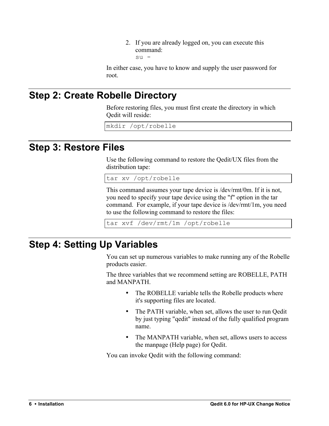2. If you are already logged on, you can execute this command: su -

In either case, you have to know and supply the user password for root.

# **Step 2: Create Robelle Directory**

Before restoring files, you must first create the directory in which Qedit will reside:

mkdir /opt/robelle

### **Step 3: Restore Files**

Use the following command to restore the Qedit/UX files from the distribution tape:

tar xv /opt/robelle

This command assumes your tape device is /dev/rmt/0m. If it is not, you need to specify your tape device using the "f" option in the tar command. For example, if your tape device is /dev/rmt/1m, you need to use the following command to restore the files:

tar xvf /dev/rmt/1m /opt/robelle

# **Step 4: Setting Up Variables**

You can set up numerous variables to make running any of the Robelle products easier.

The three variables that we recommend setting are ROBELLE, PATH and MANPATH.

- The ROBELLE variable tells the Robelle products where it's supporting files are located.
- The PATH variable, when set, allows the user to run Oedit by just typing "qedit" instead of the fully qualified program name.
- The MANPATH variable, when set, allows users to access the manpage (Help page) for Qedit.

You can invoke Qedit with the following command: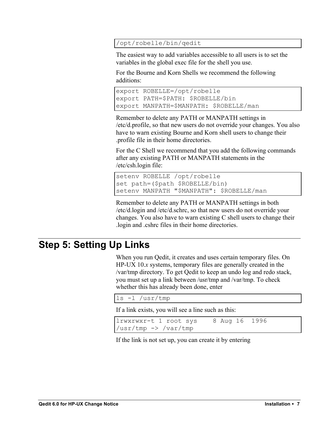#### /opt/robelle/bin/qedit

The easiest way to add variables accessible to all users is to set the variables in the global exec file for the shell you use.

For the Bourne and Korn Shells we recommend the following additions:

```
export ROBELLE=/opt/robelle
export PATH=$PATH: $ROBELLE/bin
export MANPATH=$MANPATH: $ROBELLE/man
```
Remember to delete any PATH or MANPATH settings in /etc/d.profile, so that new users do not override your changes. You also have to warn existing Bourne and Korn shell users to change their .profile file in their home directories.

For the C Shell we recommend that you add the following commands after any existing PATH or MANPATH statements in the /etc/csh.login file:

```
setenv ROBELLE /opt/robelle
set path=($path $ROBELLE/bin)
setenv MANPATH "$MANPATH": $ROBELLE/man
```
Remember to delete any PATH or MANPATH settings in both /etc/d.login and /etc/d.schrc, so that new users do not override your changes. You also have to warn existing C shell users to change their .login and .cshrc files in their home directories.

# **Step 5: Setting Up Links**

When you run Qedit, it creates and uses certain temporary files. On HP-UX 10.*x* systems, temporary files are generally created in the /var/tmp directory. To get Qedit to keep an undo log and redo stack, you must set up a link between /usr/tmp and /var/tmp. To check whether this has already been done, enter

```
ls -l /usr/tmp
```
If a link exists, you will see a line such as this:

```
lrwxrwxr-t 1 root sys 8 Aug 16 1996 
/usr/tmp -> /var/tmp
```
If the link is not set up, you can create it by entering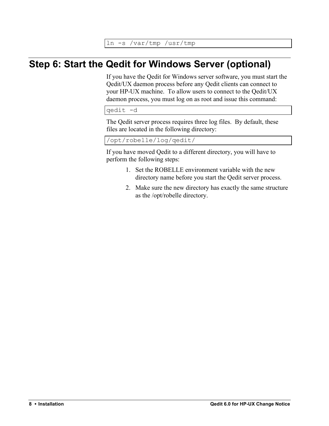ln -s /var/tmp /usr/tmp

# **Step 6: Start the Qedit for Windows Server (optional)**

If you have the Qedit for Windows server software, you must start the Qedit/UX daemon process before any Qedit clients can connect to your HP-UX machine. To allow users to connect to the Qedit/UX daemon process, you must log on as root and issue this command:

qedit -d

The Qedit server process requires three log files. By default, these files are located in the following directory:

/opt/robelle/log/qedit/

If you have moved Qedit to a different directory, you will have to perform the following steps:

- 1. Set the ROBELLE environment variable with the new directory name before you start the Qedit server process.
- 2. Make sure the new directory has exactly the same structure as the /opt/robelle directory.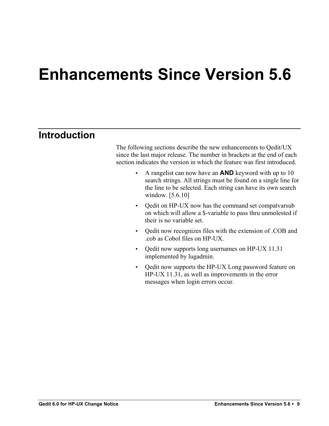# **Enhancements Since Version 5.6**

# **Introduction**

The following sections describe the new enhancements to Qedit/UX since the last major release. The number in brackets at the end of each section indicates the version in which the feature was first introduced.

- A rangelist can now have an **AND** keyword with up to 10 search strings. All strings must be found on a single line for the line to be selected. Each string can have its own search window. [5.6.10]
- Qedit on HP-UX now has the command set compatvarsub on which will allow a \$-variable to pass thru unmolested if their is no variable set.
- Qedit now recognizes files with the extension of .COB and .cob as Cobol files on HP-UX.
- Oedit now supports long usernames on HP-UX 11.31 implemented by lugadmin.
- Qedit now supports the HP-UX Long password feature on HP-UX 11.31, as well as improvements in the error messages when login errors occur.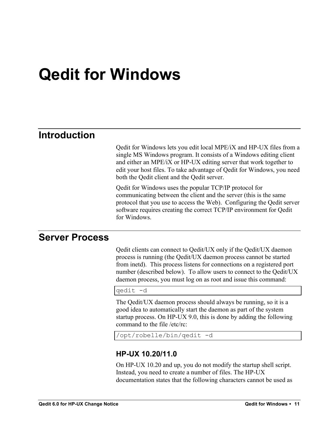# **Qedit for Windows**

# **Introduction**

Qedit for Windows lets you edit local MPE/iX and HP-UX files from a single MS Windows program. It consists of a Windows editing client and either an MPE/iX or HP-UX editing server that work together to edit your host files. To take advantage of Qedit for Windows, you need both the Qedit client and the Qedit server.

Qedit for Windows uses the popular TCP/IP protocol for communicating between the client and the server (this is the same protocol that you use to access the Web). Configuring the Qedit server software requires creating the correct TCP/IP environment for Qedit for Windows.

### **Server Process**

Qedit clients can connect to Qedit/UX only if the Qedit/UX daemon process is running (the Qedit/UX daemon process cannot be started from inetd). This process listens for connections on a registered port number (described below). To allow users to connect to the Qedit/UX daemon process, you must log on as root and issue this command:

qedit -d

The Qedit/UX daemon process should always be running, so it is a good idea to automatically start the daemon as part of the system startup process. On HP-UX 9.0, this is done by adding the following command to the file /etc/rc:

```
/opt/robelle/bin/qedit -d
```
#### **HP-UX 10.20/11.0**

On HP-UX 10.20 and up, you do not modify the startup shell script. Instead, you need to create a number of files. The HP-UX documentation states that the following characters cannot be used as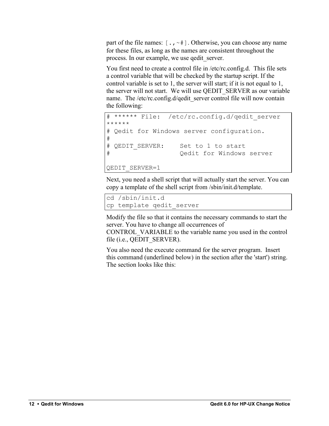part of the file names:  $[\cdot, \cdot]$ . Otherwise, you can choose any name for these files, as long as the names are consistent throughout the process. In our example, we use qedit\_server.

You first need to create a control file in /etc/rc.config.d. This file sets a control variable that will be checked by the startup script. If the control variable is set to 1, the server will start; if it is not equal to 1, the server will not start. We will use QEDIT\_SERVER as our variable name. The /etc/rc.config.d/qedit\_server control file will now contain the following:

```
****** File: /etc/rc.config.d/qedit server
******
# Qedit for Windows server configuration.
#
# QEDIT SERVER: Set to 1 to start
# Qedit for Windows server
QEDIT_SERVER=1
```
Next, you need a shell script that will actually start the server. You can copy a template of the shell script from /sbin/init.d/template.

```
cd /sbin/init.d
cp template qedit_server
```
Modify the file so that it contains the necessary commands to start the server. You have to change all occurrences of

CONTROL\_VARIABLE to the variable name you used in the control file (i.e., QEDIT\_SERVER).

You also need the execute command for the server program. Insert this command (underlined below) in the section after the 'start') string. The section looks like this: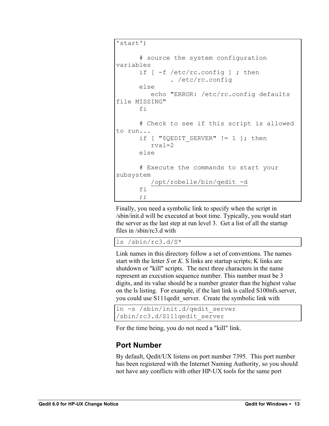```
'start')
       # source the system configuration 
variables
      if \lceil -f \rangle /etc/rc.config \lceil ; then
                 . /etc/rc.config
       else
           echo "ERROR: /etc/rc.config defaults 
file MISSING"
       fi
       # Check to see if this script is allowed 
to run...
      if [ "$QEDIT SERVER" != 1 ]; then
           rval=2
       else
       # Execute the commands to start your 
subsystem
           /opt/robelle/bin/qedit -d
       fi
       ;;
```
Finally, you need a symbolic link to specify when the script in /sbin/init.d will be executed at boot time. Typically, you would start the server as the last step at run level 3. Get a list of all the startup files in /sbin/rc3.d with

ls /sbin/rc3.d/S\*

Link names in this directory follow a set of conventions. The names start with the letter *S* or *K*. S links are startup scripts; K links are shutdown or "kill" scripts. The next three characters in the name represent an execution sequence number. This number must be 3 digits, and its value should be a number greater than the highest value on the ls listing. For example, if the last link is called S100nfs.server, you could use S111qedit server. Create the symbolic link with

```
ln -s /sbin/init.d/qedit_server 
/sbin/rc3.d/S111qedit_server
```
For the time being, you do not need a "kill" link.

### **Port Number**

By default, Qedit/UX listens on port number 7395. This port number has been registered with the Internet Naming Authority, so you should not have any conflicts with other HP-UX tools for the same port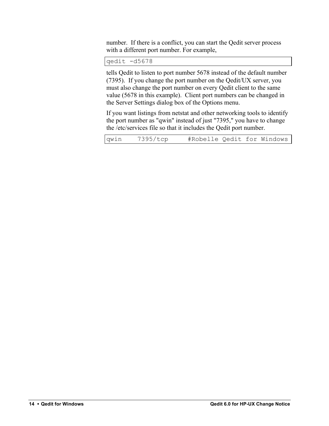number. If there is a conflict, you can start the Qedit server process with a different port number. For example,

qedit -d5678

tells Qedit to listen to port number 5678 instead of the default number (7395). If you change the port number on the Qedit/UX server, you must also change the port number on every Qedit client to the same value (5678 in this example). Client port numbers can be changed in the Server Settings dialog box of the Options menu.

If you want listings from netstat and other networking tools to identify the port number as "qwin" instead of just "7395," you have to change the /etc/services file so that it includes the Qedit port number.

| qwin | 7395/tcp | #Robelle Qedit for Windows |  |  |
|------|----------|----------------------------|--|--|
|      |          |                            |  |  |